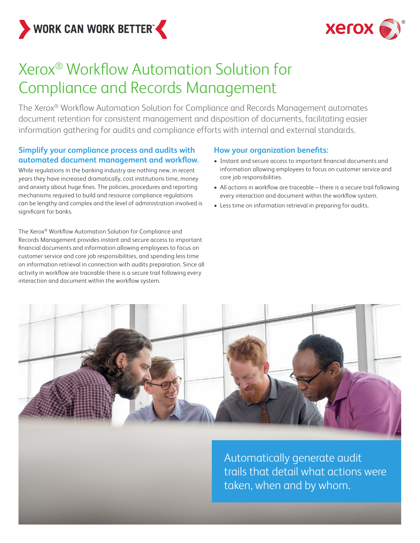



# Xerox® Workflow Automation Solution for Compliance and Records Management

The Xerox® Workflow Automation Solution for Compliance and Records Management automates document retention for consistent management and disposition of documents, facilitating easier information gathering for audits and compliance efforts with internal and external standards.

### **Simplify your compliance process and audits with automated document management and workflow.**

While regulations in the banking industry are nothing new, in recent years they have increased dramatically, cost institutions time, money and anxiety about huge fines. The policies, procedures and reporting mechanisms required to build and resource compliance regulations can be lengthy and complex and the level of administration involved is significant for banks.

The Xerox® Workflow Automation Solution for Compliance and Records Management provides instant and secure access to important financial documents and information allowing employees to focus on customer service and core job responsibilities, and spending less time on information retrieval in connection with audits preparation. Since all activity in workflow are traceable-there is a secure trail following every interaction and document within the workflow system.

### **How your organization benefits:**

- Instant and secure access to important financial documents and information allowing employees to focus on customer service and core job responsibilities.
- All actions in workflow are traceable there is a secure trail following every interaction and document within the workflow system.
- Less time on information retrieval in preparing for audits.



Automatically generate audit trails that detail what actions were taken, when and by whom.